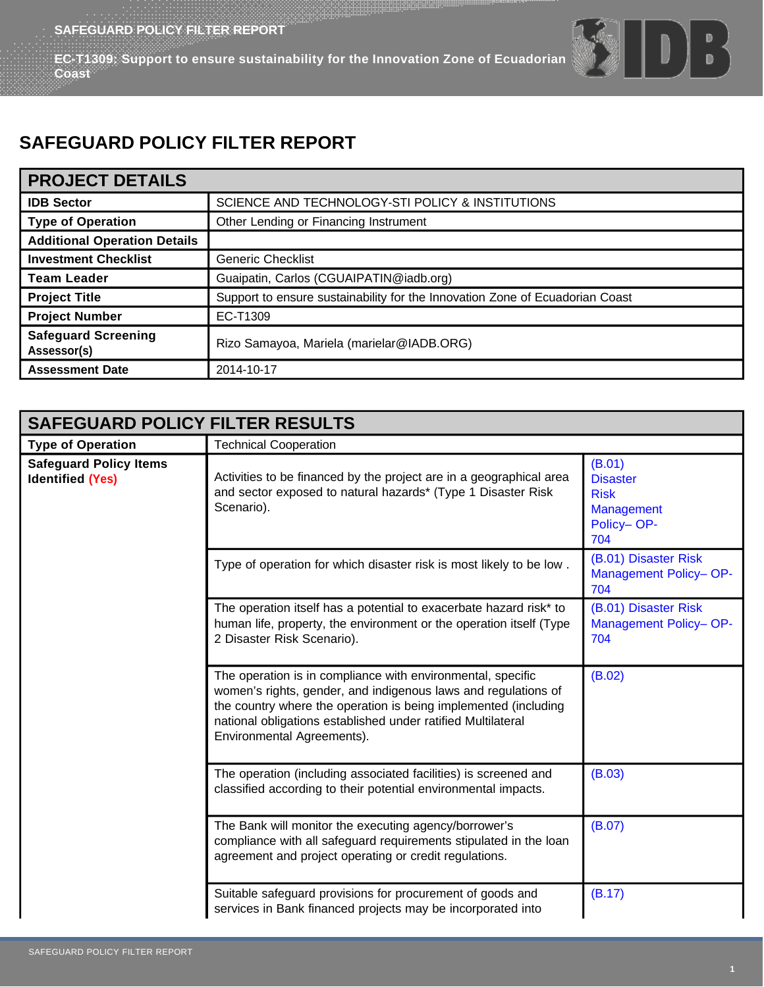**SAFEGUARD POLICY FILTER REPORT<br>FC T4000 EC-T1309: Support to ensure sustainability for the Innovation Zone of Ecuadorian Coast**

# $\bigcap_{i=1}^{n}$

## **SAFEGUARD POLICY FILTER REPORT**

| <b>PROJECT DETAILS</b>                    |                                                                              |  |
|-------------------------------------------|------------------------------------------------------------------------------|--|
| <b>IDB Sector</b>                         | SCIENCE AND TECHNOLOGY-STI POLICY & INSTITUTIONS                             |  |
| <b>Type of Operation</b>                  | Other Lending or Financing Instrument                                        |  |
| <b>Additional Operation Details</b>       |                                                                              |  |
| <b>Investment Checklist</b>               | <b>Generic Checklist</b>                                                     |  |
| <b>Team Leader</b>                        | Guaipatin, Carlos (CGUAIPATIN@iadb.org)                                      |  |
| <b>Project Title</b>                      | Support to ensure sustainability for the Innovation Zone of Ecuadorian Coast |  |
| <b>Project Number</b>                     | EC-T1309                                                                     |  |
| <b>Safeguard Screening</b><br>Assessor(s) | Rizo Samayoa, Mariela (marielar@IADB.ORG)                                    |  |
| <b>Assessment Date</b>                    | 2014-10-17                                                                   |  |

| <b>SAFEGUARD POLICY FILTER RESULTS</b>                   |                                                                                                                                                                                                                                                                                                |                                                                             |
|----------------------------------------------------------|------------------------------------------------------------------------------------------------------------------------------------------------------------------------------------------------------------------------------------------------------------------------------------------------|-----------------------------------------------------------------------------|
| <b>Type of Operation</b>                                 | <b>Technical Cooperation</b>                                                                                                                                                                                                                                                                   |                                                                             |
| <b>Safeguard Policy Items</b><br><b>Identified (Yes)</b> | Activities to be financed by the project are in a geographical area<br>and sector exposed to natural hazards* (Type 1 Disaster Risk<br>Scenario).                                                                                                                                              | (B.01)<br><b>Disaster</b><br><b>Risk</b><br>Management<br>Policy-OP-<br>704 |
|                                                          | Type of operation for which disaster risk is most likely to be low.                                                                                                                                                                                                                            | (B.01) Disaster Risk<br>Management Policy-OP-<br>704                        |
|                                                          | The operation itself has a potential to exacerbate hazard risk* to<br>human life, property, the environment or the operation itself (Type<br>2 Disaster Risk Scenario).                                                                                                                        | (B.01) Disaster Risk<br>Management Policy-OP-<br>704                        |
|                                                          | The operation is in compliance with environmental, specific<br>women's rights, gender, and indigenous laws and regulations of<br>the country where the operation is being implemented (including<br>national obligations established under ratified Multilateral<br>Environmental Agreements). | (B.02)                                                                      |
|                                                          | The operation (including associated facilities) is screened and<br>classified according to their potential environmental impacts.                                                                                                                                                              | (B.03)                                                                      |
|                                                          | The Bank will monitor the executing agency/borrower's<br>compliance with all safeguard requirements stipulated in the loan<br>agreement and project operating or credit regulations.                                                                                                           | (B.07)                                                                      |
|                                                          | Suitable safeguard provisions for procurement of goods and<br>services in Bank financed projects may be incorporated into                                                                                                                                                                      | (B.17)                                                                      |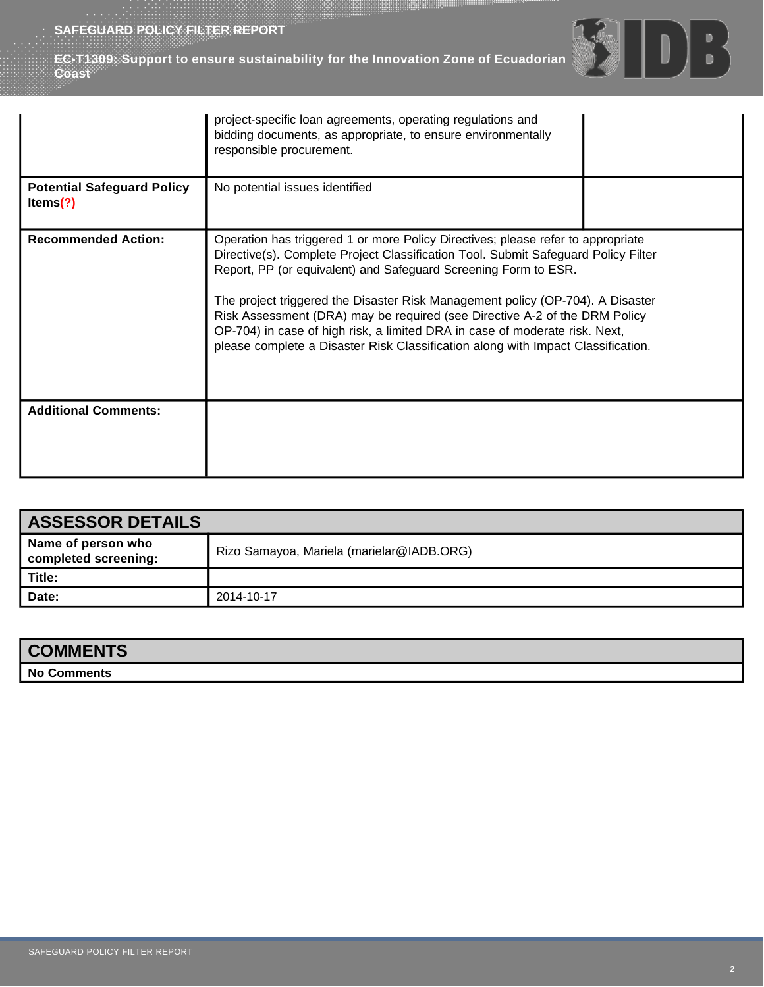**EC-T1309: Support to ensure sustainability for the Innovation Zone of Ecuadorian Coast**



| <b>ASSESSOR DETAILS</b>                    |                                           |
|--------------------------------------------|-------------------------------------------|
| Name of person who<br>completed screening: | Rizo Samayoa, Mariela (marielar@IADB.ORG) |
| Title:                                     |                                           |
| Date:                                      | 2014-10-17                                |

| <b>COMMENTS</b> |  |
|-----------------|--|
| No Comments     |  |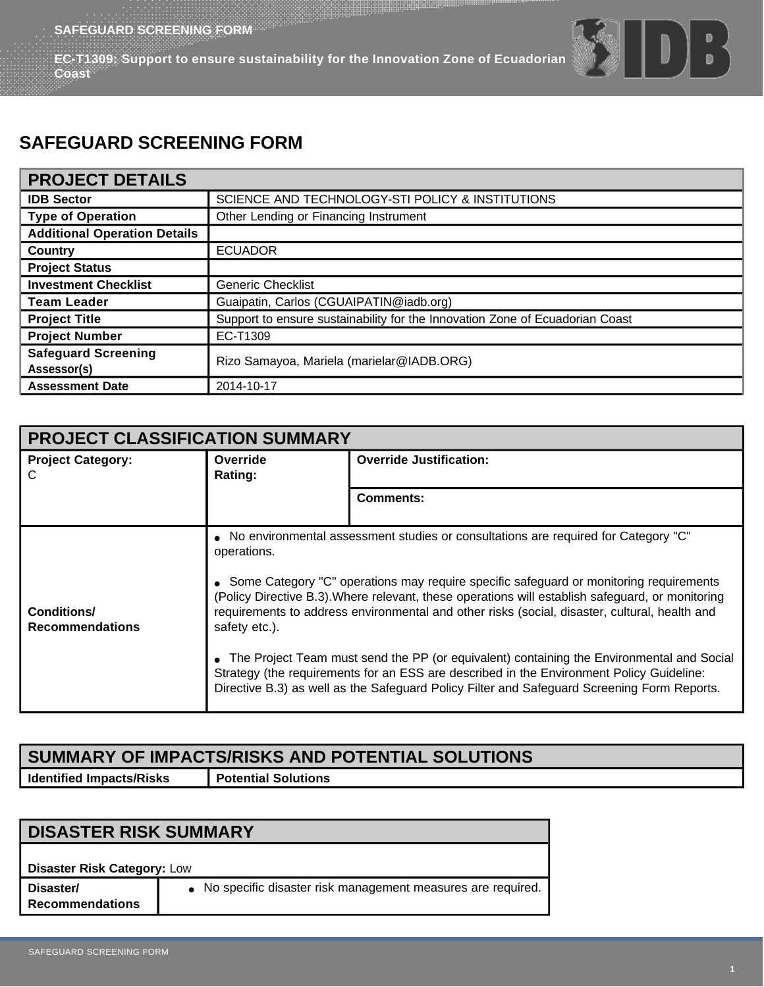**EC-T1309: Support to ensure sustainability for the Innovation Zone of Ecuadorian Coast**

# $\begin{array}{c} \begin{array}{c} \hline \end{array} \end{array}$

### **SAFEGUARD SCREENING FORM**

#### **PROJECT DETAILS**

| <b>IDB Sector</b>                         | SCIENCE AND TECHNOLOGY-STI POLICY & INSTITUTIONS                             |  |
|-------------------------------------------|------------------------------------------------------------------------------|--|
| <b>Type of Operation</b>                  | Other Lending or Financing Instrument                                        |  |
| <b>Additional Operation Details</b>       |                                                                              |  |
| Country                                   | <b>ECUADOR</b>                                                               |  |
| <b>Project Status</b>                     |                                                                              |  |
| <b>Investment Checklist</b>               | <b>Generic Checklist</b>                                                     |  |
| <b>Team Leader</b>                        | Guaipatin, Carlos (CGUAIPATIN@iadb.org)                                      |  |
| <b>Project Title</b>                      | Support to ensure sustainability for the Innovation Zone of Ecuadorian Coast |  |
| <b>Project Number</b>                     | EC-T1309                                                                     |  |
| <b>Safeguard Screening</b><br>Assessor(s) | Rizo Samayoa, Mariela (marielar@IADB.ORG)                                    |  |
| <b>Assessment Date</b>                    | 2014-10-17                                                                   |  |

| <b>PROJECT CLASSIFICATION SUMMARY</b> |                              |                                                                                                                                                                                                                                                                                                                                                                                                                                                                                                                                                                                                                                                                               |
|---------------------------------------|------------------------------|-------------------------------------------------------------------------------------------------------------------------------------------------------------------------------------------------------------------------------------------------------------------------------------------------------------------------------------------------------------------------------------------------------------------------------------------------------------------------------------------------------------------------------------------------------------------------------------------------------------------------------------------------------------------------------|
| <b>Project Category:</b><br>C         | Override<br>Rating:          | <b>Override Justification:</b>                                                                                                                                                                                                                                                                                                                                                                                                                                                                                                                                                                                                                                                |
|                                       |                              | <b>Comments:</b>                                                                                                                                                                                                                                                                                                                                                                                                                                                                                                                                                                                                                                                              |
| Conditions/<br><b>Recommendations</b> | operations.<br>safety etc.). | • No environmental assessment studies or consultations are required for Category "C"<br>• Some Category "C" operations may require specific safeguard or monitoring requirements<br>(Policy Directive B.3). Where relevant, these operations will establish safeguard, or monitoring<br>requirements to address environmental and other risks (social, disaster, cultural, health and<br>The Project Team must send the PP (or equivalent) containing the Environmental and Social<br>Strategy (the requirements for an ESS are described in the Environment Policy Guideline:<br>Directive B.3) as well as the Safeguard Policy Filter and Safeguard Screening Form Reports. |

### **SUMMARY OF IMPACTS/RISKS AND POTENTIAL SOLUTIONS Identified Impacts/Risks Potential Solutions**

**DISASTER RISK SUMMARY Disaster Risk Category:** Low **Disaster/ Recommendations** ● No specific disaster risk management measures are required.